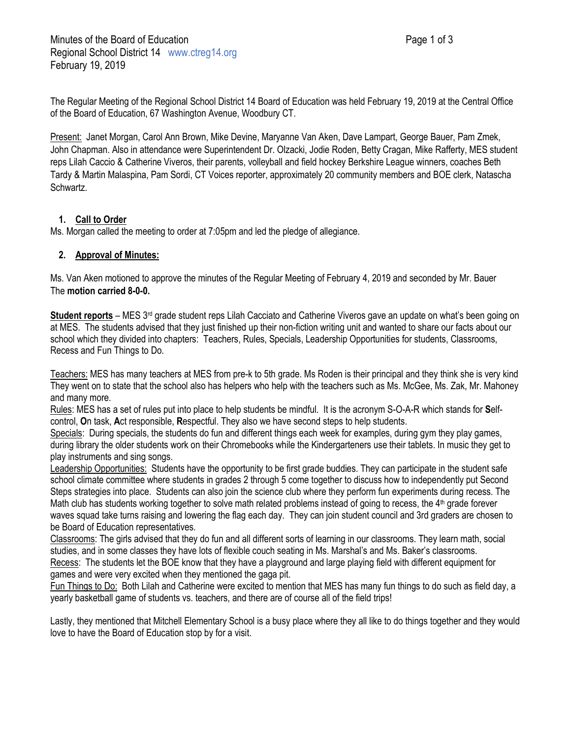The Regular Meeting of the Regional School District 14 Board of Education was held February 19, 2019 at the Central Office of the Board of Education, 67 Washington Avenue, Woodbury CT.

Present: Janet Morgan, Carol Ann Brown, Mike Devine, Maryanne Van Aken, Dave Lampart, George Bauer, Pam Zmek, John Chapman. Also in attendance were Superintendent Dr. Olzacki, Jodie Roden, Betty Cragan, Mike Rafferty, MES student reps Lilah Caccio & Catherine Viveros, their parents, volleyball and field hockey Berkshire League winners, coaches Beth Tardy & Martin Malaspina, Pam Sordi, CT Voices reporter, approximately 20 community members and BOE clerk, Natascha Schwartz.

# **1. Call to Order**

Ms. Morgan called the meeting to order at 7:05pm and led the pledge of allegiance.

# **2. Approval of Minutes:**

Ms. Van Aken motioned to approve the minutes of the Regular Meeting of February 4, 2019 and seconded by Mr. Bauer The **motion carried 8-0-0.**

**Student reports** – MES 3rd grade student reps Lilah Cacciato and Catherine Viveros gave an update on what's been going on at MES. The students advised that they just finished up their non-fiction writing unit and wanted to share our facts about our school which they divided into chapters: Teachers, Rules, Specials, Leadership Opportunities for students, Classrooms, Recess and Fun Things to Do.

Teachers: MES has many teachers at MES from pre-k to 5th grade. Ms Roden is their principal and they think she is very kind They went on to state that the school also has helpers who help with the teachers such as Ms. McGee, Ms. Zak, Mr. Mahoney and many more.

Rules: MES has a set of rules put into place to help students be mindful. It is the acronym S-O-A-R which stands for **S**elfcontrol, **O**n task, **A**ct responsible, **R**espectful. They also we have second steps to help students.

Specials: During specials, the students do fun and different things each week for examples, during gym they play games, during library the older students work on their Chromebooks while the Kindergarteners use their tablets. In music they get to play instruments and sing songs.

Leadership Opportunities: Students have the opportunity to be first grade buddies. They can participate in the student safe school climate committee where students in grades 2 through 5 come together to discuss how to independently put Second Steps strategies into place. Students can also join the science club where they perform fun experiments during recess. The Math club has students working together to solve math related problems instead of going to recess, the 4<sup>th</sup> grade forever waves squad take turns raising and lowering the flag each day. They can join student council and 3rd graders are chosen to be Board of Education representatives.

Classrooms: The girls advised that they do fun and all different sorts of learning in our classrooms. They learn math, social studies, and in some classes they have lots of flexible couch seating in Ms. Marshal's and Ms. Baker's classrooms. Recess: The students let the BOE know that they have a playground and large playing field with different equipment for games and were very excited when they mentioned the gaga pit.

Fun Things to Do: Both Lilah and Catherine were excited to mention that MES has many fun things to do such as field day, a yearly basketball game of students vs. teachers, and there are of course all of the field trips!

Lastly, they mentioned that Mitchell Elementary School is a busy place where they all like to do things together and they would love to have the Board of Education stop by for a visit.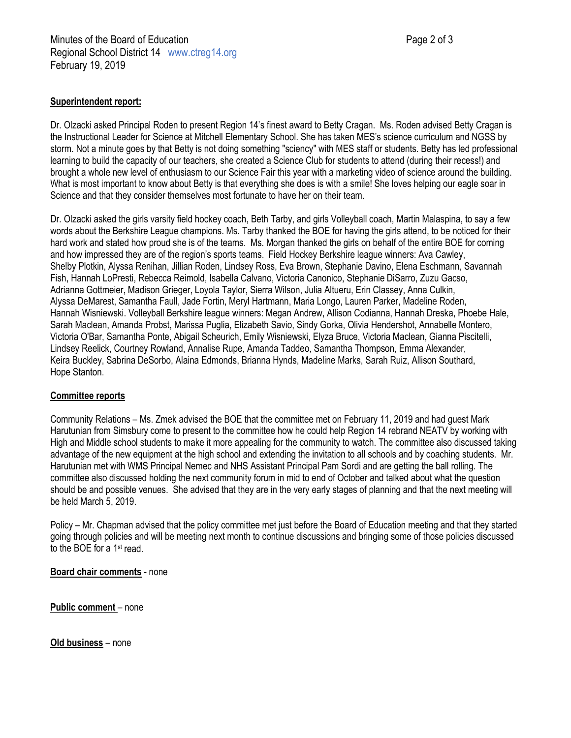### **Superintendent report:**

Dr. Olzacki asked Principal Roden to present Region 14's finest award to Betty Cragan. Ms. Roden advised Betty Cragan is the Instructional Leader for Science at Mitchell Elementary School. She has taken MES's science curriculum and NGSS by storm. Not a minute goes by that Betty is not doing something "sciency" with MES staff or students. Betty has led professional learning to build the capacity of our teachers, she created a Science Club for students to attend (during their recess!) and brought a whole new level of enthusiasm to our Science Fair this year with a marketing video of science around the building. What is most important to know about Betty is that everything she does is with a smile! She loves helping our eagle soar in Science and that they consider themselves most fortunate to have her on their team.

Dr. Olzacki asked the girls varsity field hockey coach, Beth Tarby, and girls Volleyball coach, Martin Malaspina, to say a few words about the Berkshire League champions. Ms. Tarby thanked the BOE for having the girls attend, to be noticed for their hard work and stated how proud she is of the teams. Ms. Morgan thanked the girls on behalf of the entire BOE for coming and how impressed they are of the region's sports teams. Field Hockey Berkshire league winners: Ava Cawley, Shelby Plotkin, Alyssa Renihan, Jillian Roden, Lindsey Ross, Eva Brown, Stephanie Davino, Elena Eschmann, Savannah Fish, Hannah LoPresti, Rebecca Reimold, Isabella Calvano, Victoria Canonico, Stephanie DiSarro, Zuzu Gacso, Adrianna Gottmeier, Madison Grieger, Loyola Taylor, Sierra Wilson, Julia Altueru, Erin Classey, Anna Culkin, Alyssa DeMarest, Samantha Faull, Jade Fortin, Meryl Hartmann, Maria Longo, Lauren Parker, Madeline Roden, Hannah Wisniewski. Volleyball Berkshire league winners: Megan Andrew, Allison Codianna, Hannah Dreska, Phoebe Hale, Sarah Maclean, Amanda Probst, Marissa Puglia, Elizabeth Savio, Sindy Gorka, Olivia Hendershot, Annabelle Montero, Victoria O'Bar, Samantha Ponte, Abigail Scheurich, Emily Wisniewski, Elyza Bruce, Victoria Maclean, Gianna Piscitelli, Lindsey Reelick, Courtney Rowland, Annalise Rupe, Amanda Taddeo, Samantha Thompson, Emma Alexander, Keira Buckley, Sabrina DeSorbo, Alaina Edmonds, Brianna Hynds, Madeline Marks, Sarah Ruiz, Allison Southard, Hope Stanton.

#### **Committee reports**

Community Relations – Ms. Zmek advised the BOE that the committee met on February 11, 2019 and had guest Mark Harutunian from Simsbury come to present to the committee how he could help Region 14 rebrand NEATV by working with High and Middle school students to make it more appealing for the community to watch. The committee also discussed taking advantage of the new equipment at the high school and extending the invitation to all schools and by coaching students. Mr. Harutunian met with WMS Principal Nemec and NHS Assistant Principal Pam Sordi and are getting the ball rolling. The committee also discussed holding the next community forum in mid to end of October and talked about what the question should be and possible venues. She advised that they are in the very early stages of planning and that the next meeting will be held March 5, 2019.

Policy – Mr. Chapman advised that the policy committee met just before the Board of Education meeting and that they started going through policies and will be meeting next month to continue discussions and bringing some of those policies discussed to the BOE for a 1st read.

**Board chair comments** - none

**Public comment** – none

**Old business** – none